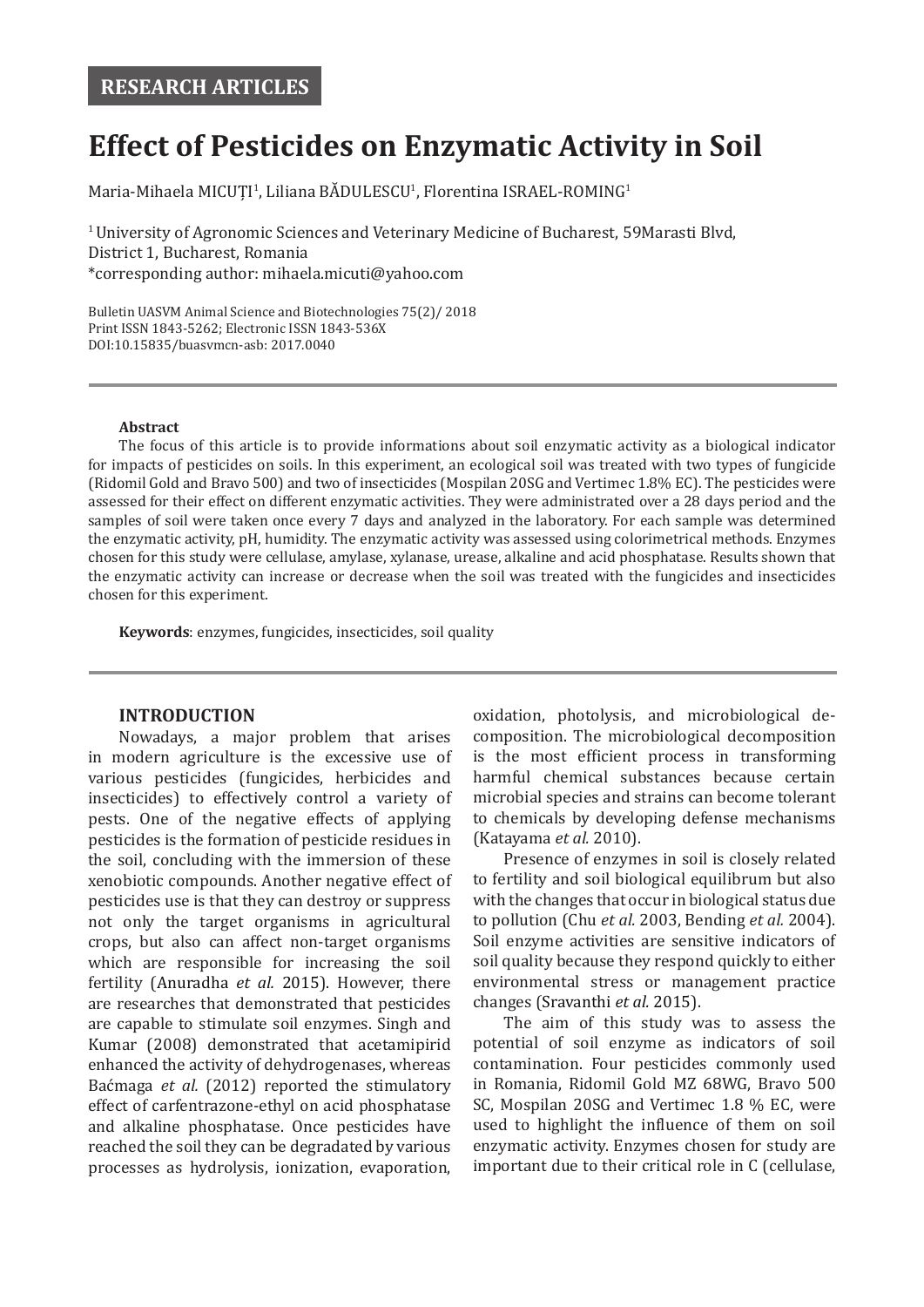# **Effect of Pesticides on Enzymatic Activity in Soil**

 $M$ aria-Mihaela MICUȚI<sup>1</sup>, Liliana BADULESCU<sup>1</sup>, Florentina ISRAEL-ROMING<sup>1</sup>

1 University of Agronomic Sciences and Veterinary Medicine of Bucharest, 59Marasti Blvd, District 1, Bucharest, Romania \*corresponding author: mihaela.micuti@yahoo.com

Bulletin UASVM Animal Science and Biotechnologies 75(2)/ 2018 Print ISSN 1843-5262; Electronic ISSN 1843-536X DOI:10.15835/buasvmcn-asb: 2017.0040

### **Abstract**

The focus of this article is to provide informations about soil enzymatic activity as a biological indicator for impacts of pesticides on soils. In this experiment, an ecological soil was treated with two types of fungicide (Ridomil Gold and Bravo 500) and two of insecticides (Mospilan 20SG and Vertimec 1.8% EC). The pesticides were assessed for their effect on different enzymatic activities. They were administrated over a 28 days period and the samples of soil were taken once every 7 days and analyzed in the laboratory. For each sample was determined the enzymatic activity, pH, humidity. The enzymatic activity was assessed using colorimetrical methods. Enzymes chosen for this study were cellulase, amylase, xylanase, urease, alkaline and acid phosphatase. Results shown that the enzymatic activity can increase or decrease when the soil was treated with the fungicides and insecticides chosen for this experiment.

**Keywords**: enzymes, fungicides, insecticides, soil quality

# **INTRODUCTION**

Nowadays, a major problem that arises in modern agriculture is the excessive use of various pesticides (fungicides, herbicides and insecticides) to effectively control a variety of pests. One of the negative effects of applying pesticides is the formation of pesticide residues in the soil, concluding with the immersion of these xenobiotic compounds. Another negative effect of pesticides use is that they can destroy or suppress not only the target organisms in agricultural crops, but also can affect non-target organisms which are responsible for increasing the soil fertility (Anuradha *et al.* 2015). However, there are researches that demonstrated that pesticides are capable to stimulate soil enzymes. Singh and Kumar (2008) demonstrated that acetamipirid enhanced the activity of dehydrogenases, whereas Baćmaga *et al.* (2012) reported the stimulatory effect of carfentrazone-ethyl on acid phosphatase and alkaline phosphatase. Once pesticides have reached the soil they can be degradated by various processes as hydrolysis, ionization, evaporation,

oxidation, photolysis, and microbiological decomposition. The microbiological decomposition is the most efficient process in transforming harmful chemical substances because certain microbial species and strains can become tolerant to chemicals by developing defense mechanisms (Katayama *et al.* 2010).

Presence of enzymes in soil is closely related to fertility and soil biological equilibrum but also with the changes that occur in biological status due to pollution (Chu *et al.* 2003, Bending *et al.* 2004). Soil enzyme activities are sensitive indicators of soil quality because they respond quickly to either environmental stress or management practice changes (Sravanthi *et al.* 2015).

The aim of this study was to assess the potential of soil enzyme as indicators of soil contamination. Four pesticides commonly used in Romania, Ridomil Gold MZ 68WG, Bravo 500 SC, Mospilan 20SG and Vertimec 1.8 % EC, were used to highlight the influence of them on soil enzymatic activity. Enzymes chosen for study are important due to their critical role in C (cellulase,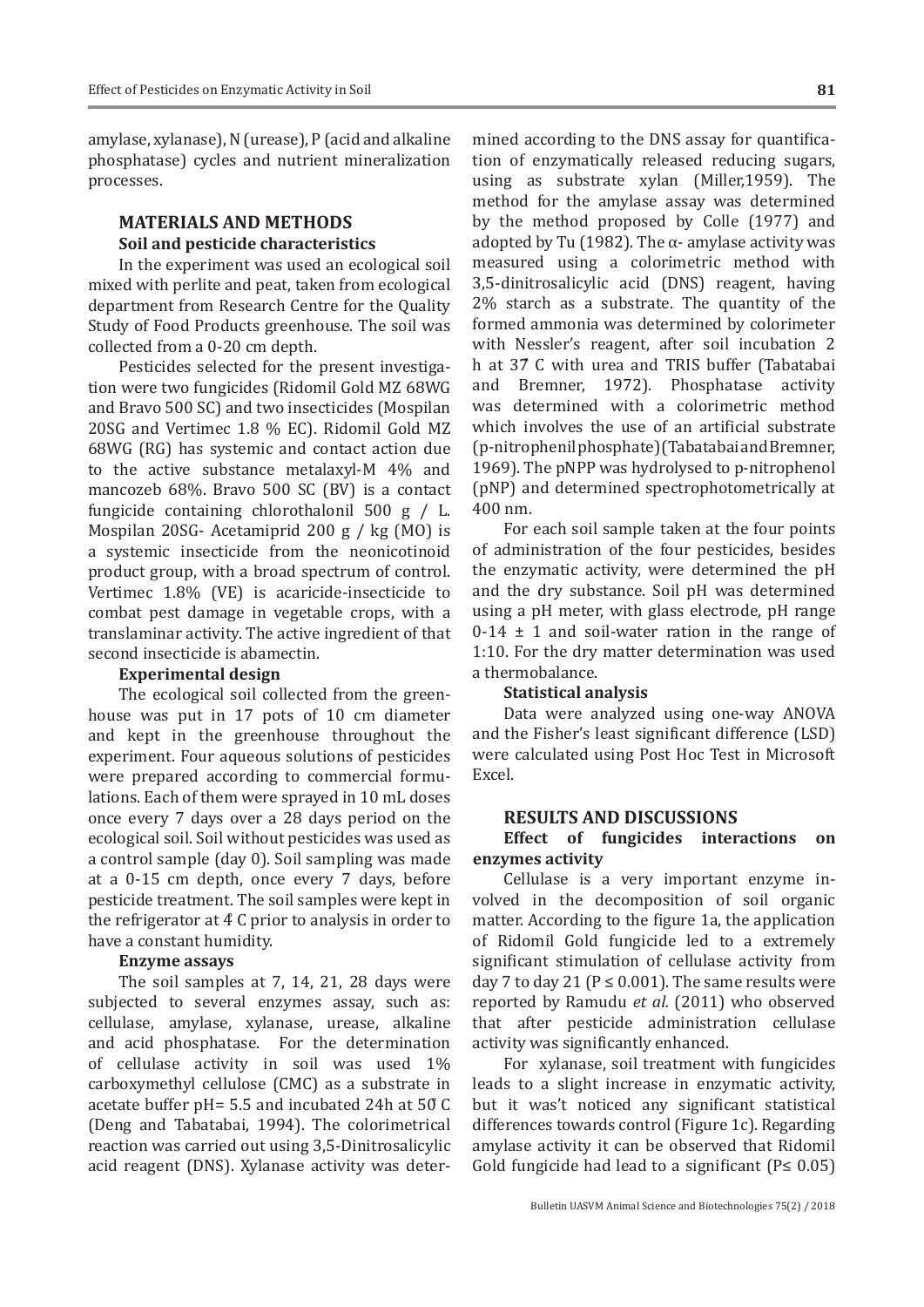amylase, xylanase), N (urease), P (acid and alkaline phosphatase) cycles and nutrient mineralization processes.

# **MATERIALS AND METHODS Soil and pesticide characteristics**

In the experiment was used an ecological soil mixed with perlite and peat, taken from ecological department from Research Centre for the Quality Study of Food Products greenhouse. The soil was collected from a 0-20 cm depth.

Pesticides selected for the present investigation were two fungicides (Ridomil Gold MZ 68WG and Bravo 500 SC) and two insecticides (Mospilan 20SG and Vertimec 1.8 % EC). Ridomil Gold MZ 68WG (RG) has systemic and contact action due to the active substance metalaxyl-M 4% and mancozeb 68%. Bravo 500 SC (BV) is a contact fungicide containing chlorothalonil 500 g / L. Mospilan 20SG- Acetamiprid 200 g / kg (MO) is a systemic insecticide from the neonicotinoid product group, with a broad spectrum of control. Vertimec 1.8% (VE) is acaricide-insecticide to combat pest damage in vegetable crops, with a translaminar activity. The active ingredient of that second insecticide is abamectin.

## **Experimental design**

The ecological soil collected from the greenhouse was put in 17 pots of 10 cm diameter and kept in the greenhouse throughout the experiment. Four aqueous solutions of pesticides were prepared according to commercial formulations. Each of them were sprayed in 10 mL doses once every 7 days over a 28 days period on the ecological soil. Soil without pesticides was used as a control sample (day 0). Soil sampling was made at a 0-15 cm depth, once every 7 days, before pesticide treatment. The soil samples were kept in the refrigerator at 4̊ C prior to analysis in order to have a constant humidity.

#### **Enzyme assays**

The soil samples at 7, 14, 21, 28 days were subjected to several enzymes assay, such as: cellulase, amylase, xylanase, urease, alkaline and acid phosphatase. For the determination of cellulase activity in soil was used 1% carboxymethyl cellulose (CMC) as a substrate in acetate buffer pH= 5.5 and incubated 24h at 50̊ C (Deng and Tabatabai, 1994). The colorimetrical reaction was carried out using 3,5-Dinitrosalicylic acid reagent (DNS). Xylanase activity was deter-

mined according to the DNS assay for quantification of enzymatically released reducing sugars, using as substrate xylan (Miller,1959). The method for the amylase assay was determined by the method proposed by Colle (1977) and adopted by Tu (1982). The  $\alpha$ - amylase activity was measured using a colorimetric method with 3,5-dinitrosalicylic acid (DNS) reagent, having 2% starch as a substrate. The quantity of the formed ammonia was determined by colorimeter with Nessler's reagent, after soil incubation 2 h at 37 C with urea and TRIS buffer (Tabatabai<br>and Bremner. 1972). Phosphatase activity Bremner, 1972). Phosphatase activity was determined with a colorimetric method which involves the use of an artificial substrate (p-nitrophenil phosphate) (Tabatabai and Bremner, 1969). The pNPP was hydrolysed to p-nitrophenol (pNP) and determined spectrophotometrically at 400 nm.

For each soil sample taken at the four points of administration of the four pesticides, besides the enzymatic activity, were determined the pH and the dry substance. Soil pH was determined using a pH meter, with glass electrode, pH range  $0-14 \pm 1$  and soil-water ration in the range of 1:10. For the dry matter determination was used a thermobalance.

#### **Statistical analysis**

Data were analyzed using one-way ANOVA and the Fisher's least significant difference (LSD) were calculated using Post Hoc Test in Microsoft Excel.

#### **RESULTS AND DISCUSSIONS**

## **Effect of fungicides interactions on enzymes activity**

Cellulase is a very important enzyme involved in the decomposition of soil organic matter. According to the figure 1a, the application of Ridomil Gold fungicide led to a extremely significant stimulation of cellulase activity from day 7 to day 21 ( $P \le 0.001$ ). The same results were reported by Ramudu *et al.* (2011) who observed that after pesticide administration cellulase activity was significantly enhanced.

For xylanase, soil treatment with fungicides leads to a slight increase in enzymatic activity, but it was't noticed any significant statistical differences towards control (Figure 1c). Regarding amylase activity it can be observed that Ridomil Gold fungicide had lead to a significant  $(P \le 0.05)$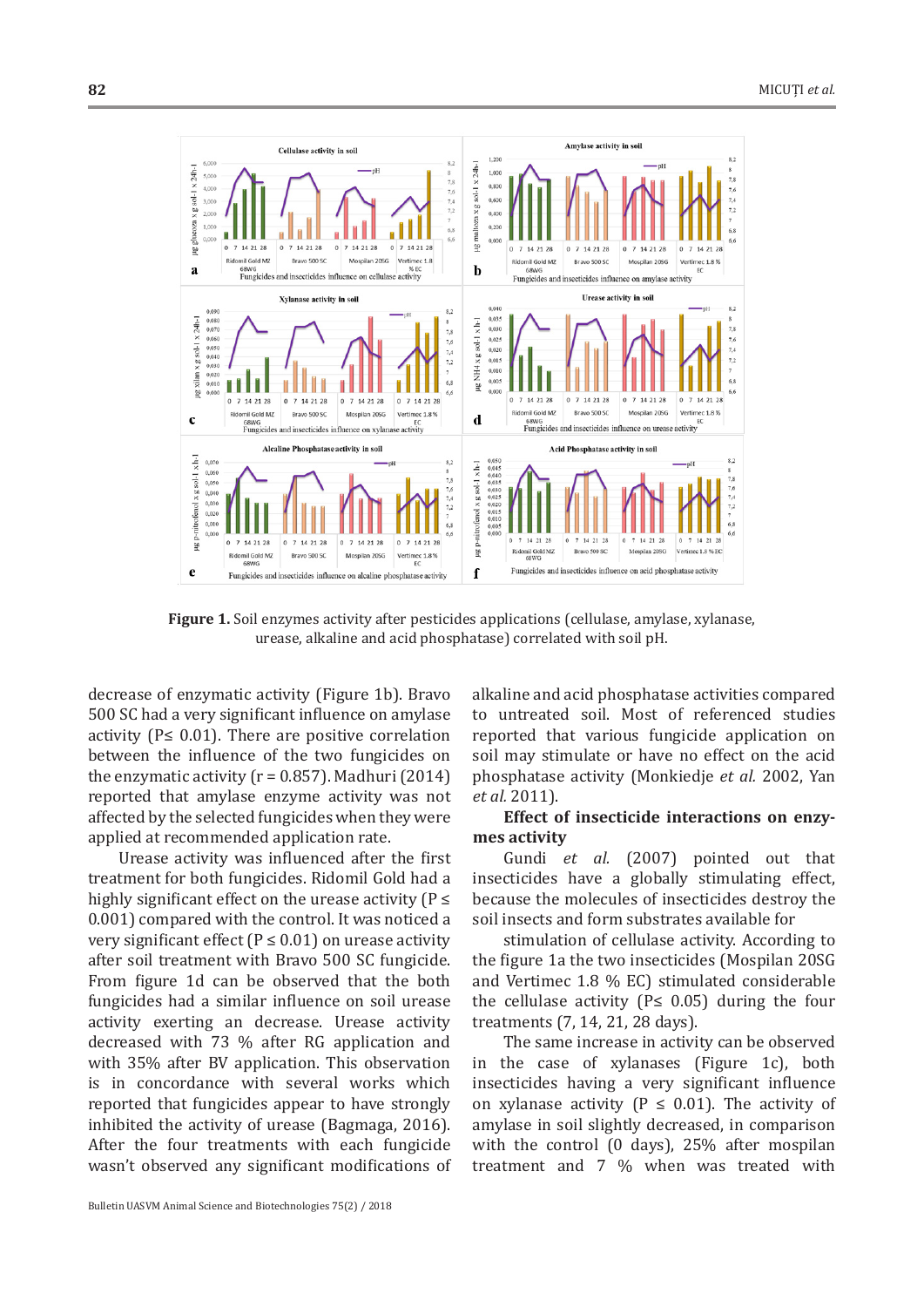

Figure 1. Soil enzymes activity after pesticides applications (cellulase, amylase, xylanase, urease, alkaline and acid phosphatase) correlated with soil pH.

decrease of enzymatic activity (Figure 1b). Bravo 500 SC had a very significant influence on amylase activity ( $P \leq 0.01$ ). There are positive correlation between the influence of the two fungicides on the enzymatic activity ( $r = 0.857$ ). Madhuri (2014) reported that amylase enzyme activity was not affected by the selected fungicides when they were applied at recommended application rate.

Urease activity was influenced after the first treatment for both fungicides. Ridomil Gold had a highly significant effect on the urease activity ( $P \leq$ 0.001) compared with the control. It was noticed a very significant effect ( $P \le 0.01$ ) on urease activity after soil treatment with Bravo 500 SC fungicide. From figure 1d can be observed that the both fungicides had a similar influence on soil urease activity exerting an decrease. Urease activity decreased with 73 % after RG application and with 35% after BV application. This observation is in concordance with several works which reported that fungicides appear to have strongly inhibited the activity of urease (Bagmaga, 2016). After the four treatments with each fungicide wasn't observed any significant modifications of

Bulletin UASVM Animal Science and Biotechnologies 75(2) / 2018

alkaline and acid phosphatase activities compared to untreated soil. Most of referenced studies reported that various fungicide application on soil may stimulate or have no effect on the acid phosphatase activity (Monkiedje *et al.* 2002, Yan *et al.* 2011).

# **Effect of insecticide interactions on enzymes activity**

Gundi *et al.* (2007) pointed out that insecticides have a globally stimulating effect, because the molecules of insecticides destroy the soil insects and form substrates available for

stimulation of cellulase activity. According to the figure 1a the two insecticides (Mospilan 20SG and Vertimec 1.8 % EC) stimulated considerable the cellulase activity ( $P \leq 0.05$ ) during the four treatments (7, 14, 21, 28 days).

The same increase in activity can be observed in the case of xylanases (Figure 1c), both insecticides having a very significant influence on xylanase activity ( $P \leq 0.01$ ). The activity of amylase in soil slightly decreased, in comparison with the control (0 days), 25% after mospilan treatment and 7 % when was treated with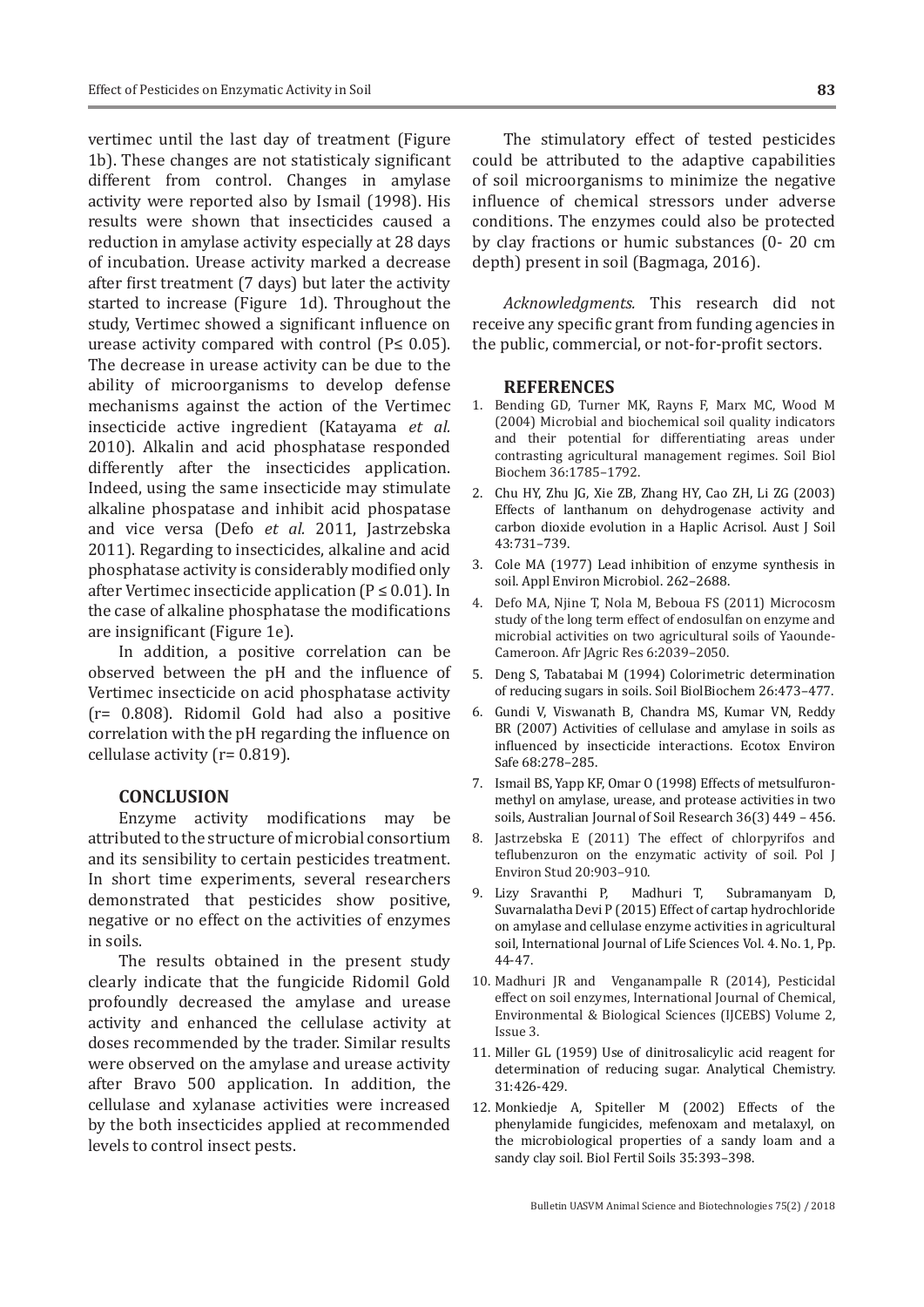vertimec until the last day of treatment (Figure 1b). These changes are not statisticaly significant different from control. Changes in amylase activity were reported also by Ismail (1998). His results were shown that insecticides caused a reduction in amylase activity especially at 28 days of incubation. Urease activity marked a decrease after first treatment (7 days) but later the activity started to increase (Figure 1d). Throughout the study, Vertimec showed a significant influence on urease activity compared with control ( $P \leq 0.05$ ). The decrease in urease activity can be due to the ability of microorganisms to develop defense mechanisms against the action of the Vertimec insecticide active ingredient (Katayama *et al.* 2010). Alkalin and acid phosphatase responded differently after the insecticides application. Indeed, using the same insecticide may stimulate alkaline phospatase and inhibit acid phospatase and vice versa (Defo *et al.* 2011, Jastrzebska 2011). Regarding to insecticides, alkaline and acid phosphatase activity is considerably modified only after Vertimec insecticide application ( $P \le 0.01$ ). In the case of alkaline phosphatase the modifications are insignificant (Figure 1e).

In addition, a positive correlation can be observed between the pH and the influence of Vertimec insecticide on acid phosphatase activity (r= 0.808). Ridomil Gold had also a positive correlation with the pH regarding the influence on cellulase activity (r= 0.819).

## **CONCLUSION**

Enzyme activity modifications may be attributed to the structure of microbial consortium and its sensibility to certain pesticides treatment. In short time experiments, several researchers demonstrated that pesticides show positive, negative or no effect on the activities of enzymes in soils.

The results obtained in the present study clearly indicate that the fungicide Ridomil Gold profoundly decreased the amylase and urease activity and enhanced the cellulase activity at doses recommended by the trader. Similar results were observed on the amylase and urease activity after Bravo 500 application. In addition, the cellulase and xylanase activities were increased by the both insecticides applied at recommended levels to control insect pests.

The stimulatory effect of tested pesticides could be attributed to the adaptive capabilities of soil microorganisms to minimize the negative influence of chemical stressors under adverse conditions. The enzymes could also be protected by clay fractions or humic substances (0- 20 cm depth) present in soil (Bagmaga, 2016).

*Acknowledgments.* This research did not receive any specific grant from funding agencies in the public, commercial, or not-for-profit sectors.

#### **REFERENCES**

- 1. Bending GD, Turner MK, Rayns F, Marx MC, Wood M (2004) Microbial and biochemical soil quality indicators and their potential for differentiating areas under contrasting agricultural management regimes. Soil Biol Biochem 36:1785–1792.
- 2. Chu HY, Zhu JG, Xie ZB, Zhang HY, Cao ZH, Li ZG (2003) Effects of lanthanum on dehydrogenase activity and carbon dioxide evolution in a Haplic Acrisol. Aust J Soil 43:731–739.
- 3. Cole MA (1977) Lead inhibition of enzyme synthesis in soil. Appl Environ Microbiol. 262–2688.
- 4. Defo MA, Njine T, Nola M, Beboua FS (2011) Microcosm study of the long term effect of endosulfan on enzyme and microbial activities on two agricultural soils of Yaounde-Cameroon. Afr JAgric Res 6:2039–2050.
- 5. Deng S, Tabatabai M (1994) Colorimetric determination of reducing sugars in soils. Soil BiolBiochem 26:473–477.
- 6. Gundi V, Viswanath B, Chandra MS, Kumar VN, Reddy BR (2007) Activities of cellulase and amylase in soils as influenced by insecticide interactions. Ecotox Environ Safe 68:278–285.
- 7. Ismail BS, Yapp KF, Omar O (1998) Effects of metsulfuronmethyl on amylase, urease, and protease activities in two soils, Australian Journal of Soil Research 36(3) 449 – 456.
- 8. Jastrzebska E (2011) The effect of chlorpyrifos and teflubenzuron on the enzymatic activity of soil. Pol J Environ Stud 20:903–910.
- 9. Lizy Sravanthi P, Madhuri T, Subramanyam D, Suvarnalatha Devi P (2015) Effect of cartap hydrochloride on amylase and cellulase enzyme activities in agricultural soil, International Journal of Life Sciences Vol. 4. No. 1, Pp. 44-47.
- 10. Madhuri JR and Venganampalle R (2014), Pesticidal effect on soil enzymes, International Journal of Chemical, Environmental & Biological Sciences (IJCEBS) Volume 2, Issue 3.
- 11. Miller GL (1959) Use of dinitrosalicylic acid reagent for determination of reducing sugar. Analytical Chemistry. 31:426-429.
- 12. Monkiedje A, Spiteller M (2002) Effects of the phenylamide fungicides, mefenoxam and metalaxyl, on the microbiological properties of a sandy loam and a sandy clay soil. Biol Fertil Soils 35:393–398.